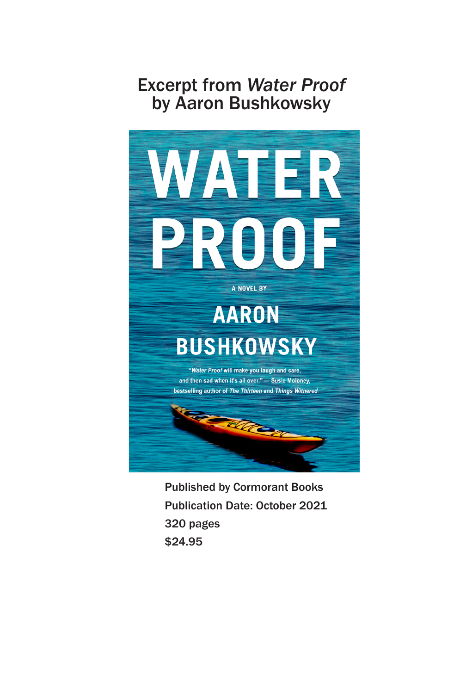## Excerpt from *Water Proof* by Aaron Bushkowsky



Published by Cormorant Books Publication Date: October 2021 320 pages \$24.95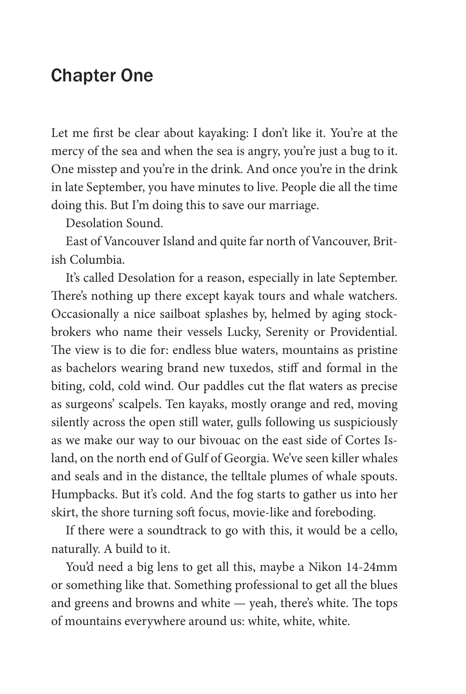## Chapter One

Let me first be clear about kayaking: I don't like it. You're at the mercy of the sea and when the sea is angry, you're just a bug to it. One misstep and you're in the drink. And once you're in the drink in late September, you have minutes to live. People die all the time doing this. But I'm doing this to save our marriage.

Desolation Sound.

East of Vancouver Island and quite far north of Vancouver, British Columbia.

It's called Desolation for a reason, especially in late September. There's nothing up there except kayak tours and whale watchers. Occasionally a nice sailboat splashes by, helmed by aging stockbrokers who name their vessels Lucky, Serenity or Providential. The view is to die for: endless blue waters, mountains as pristine as bachelors wearing brand new tuxedos, stiff and formal in the biting, cold, cold wind. Our paddles cut the flat waters as precise as surgeons' scalpels. Ten kayaks, mostly orange and red, moving silently across the open still water, gulls following us suspiciously as we make our way to our bivouac on the east side of Cortes Island, on the north end of Gulf of Georgia. We've seen killer whales and seals and in the distance, the telltale plumes of whale spouts. Humpbacks. But it's cold. And the fog starts to gather us into her skirt, the shore turning soft focus, movie-like and foreboding.

If there were a soundtrack to go with this, it would be a cello, naturally. A build to it.

You'd need a big lens to get all this, maybe a Nikon 14-24mm or something like that. Something professional to get all the blues and greens and browns and white — yeah, there's white. The tops of mountains everywhere around us: white, white, white.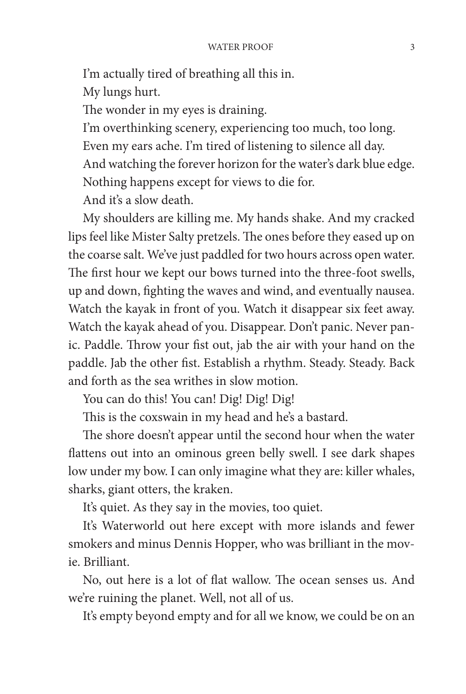I'm actually tired of breathing all this in. My lungs hurt. The wonder in my eyes is draining. I'm overthinking scenery, experiencing too much, too long. Even my ears ache. I'm tired of listening to silence all day. And watching the forever horizon for the water's dark blue edge. Nothing happens except for views to die for. And it's a slow death.

My shoulders are killing me. My hands shake. And my cracked lips feel like Mister Salty pretzels. The ones before they eased up on the coarse salt. We've just paddled for two hours across open water. The first hour we kept our bows turned into the three-foot swells, up and down, fighting the waves and wind, and eventually nausea. Watch the kayak in front of you. Watch it disappear six feet away. Watch the kayak ahead of you. Disappear. Don't panic. Never panic. Paddle. Throw your fist out, jab the air with your hand on the paddle. Jab the other fist. Establish a rhythm. Steady. Steady. Back and forth as the sea writhes in slow motion.

You can do this! You can! Dig! Dig! Dig!

This is the coxswain in my head and he's a bastard.

The shore doesn't appear until the second hour when the water flattens out into an ominous green belly swell. I see dark shapes low under my bow. I can only imagine what they are: killer whales, sharks, giant otters, the kraken.

It's quiet. As they say in the movies, too quiet.

It's Waterworld out here except with more islands and fewer smokers and minus Dennis Hopper, who was brilliant in the movie. Brilliant.

No, out here is a lot of flat wallow. The ocean senses us. And we're ruining the planet. Well, not all of us.

It's empty beyond empty and for all we know, we could be on an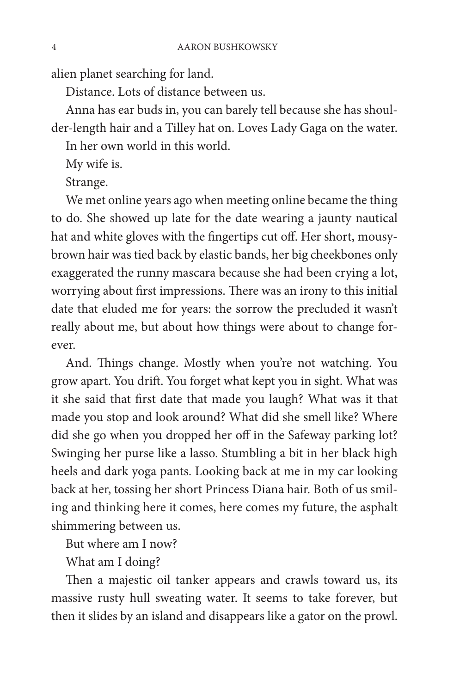alien planet searching for land.

Distance. Lots of distance between us.

Anna has ear buds in, you can barely tell because she has shoulder-length hair and a Tilley hat on. Loves Lady Gaga on the water.

In her own world in this world.

My wife is.

Strange.

We met online years ago when meeting online became the thing to do. She showed up late for the date wearing a jaunty nautical hat and white gloves with the fingertips cut off. Her short, mousybrown hair was tied back by elastic bands, her big cheekbones only exaggerated the runny mascara because she had been crying a lot, worrying about first impressions. There was an irony to this initial date that eluded me for years: the sorrow the precluded it wasn't really about me, but about how things were about to change forever.

And. Things change. Mostly when you're not watching. You grow apart. You drift. You forget what kept you in sight. What was it she said that first date that made you laugh? What was it that made you stop and look around? What did she smell like? Where did she go when you dropped her off in the Safeway parking lot? Swinging her purse like a lasso. Stumbling a bit in her black high heels and dark yoga pants. Looking back at me in my car looking back at her, tossing her short Princess Diana hair. Both of us smiling and thinking here it comes, here comes my future, the asphalt shimmering between us.

But where am I now?

What am I doing?

Then a majestic oil tanker appears and crawls toward us, its massive rusty hull sweating water. It seems to take forever, but then it slides by an island and disappears like a gator on the prowl.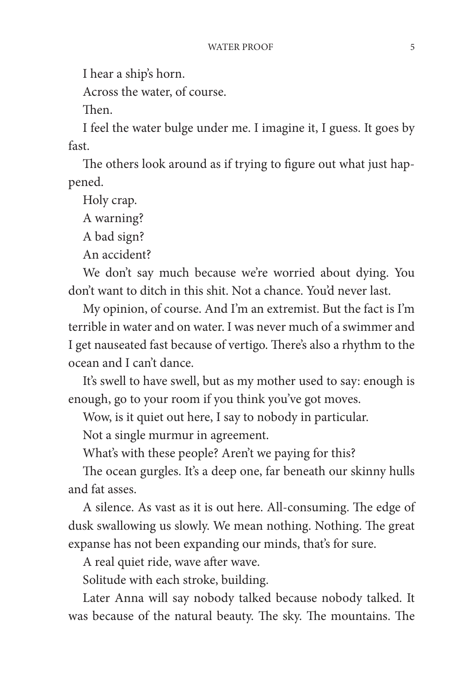I hear a ship's horn.

Across the water, of course.

Then.

I feel the water bulge under me. I imagine it, I guess. It goes by fast.

The others look around as if trying to figure out what just happened.

Holy crap.

A warning?

A bad sign?

An accident?

We don't say much because we're worried about dying. You don't want to ditch in this shit. Not a chance. You'd never last.

My opinion, of course. And I'm an extremist. But the fact is I'm terrible in water and on water. I was never much of a swimmer and I get nauseated fast because of vertigo. There's also a rhythm to the ocean and I can't dance.

It's swell to have swell, but as my mother used to say: enough is enough, go to your room if you think you've got moves.

Wow, is it quiet out here, I say to nobody in particular.

Not a single murmur in agreement.

What's with these people? Aren't we paying for this?

The ocean gurgles. It's a deep one, far beneath our skinny hulls and fat asses.

A silence. As vast as it is out here. All-consuming. The edge of dusk swallowing us slowly. We mean nothing. Nothing. The great expanse has not been expanding our minds, that's for sure.

A real quiet ride, wave after wave.

Solitude with each stroke, building.

Later Anna will say nobody talked because nobody talked. It was because of the natural beauty. The sky. The mountains. The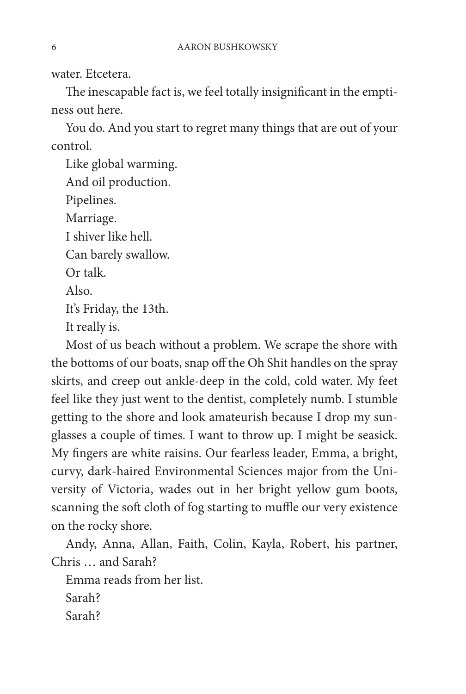water. Etcetera.

The inescapable fact is, we feel totally insignificant in the emptiness out here.

You do. And you start to regret many things that are out of your control.

Like global warming. And oil production. Pipelines. Marriage. I shiver like hell. Can barely swallow. Or talk. Also. It's Friday, the 13th. It really is.

Most of us beach without a problem. We scrape the shore with the bottoms of our boats, snap off the Oh Shit handles on the spray skirts, and creep out ankle-deep in the cold, cold water. My feet feel like they just went to the dentist, completely numb. I stumble getting to the shore and look amateurish because I drop my sunglasses a couple of times. I want to throw up. I might be seasick. My fingers are white raisins. Our fearless leader, Emma, a bright, curvy, dark-haired Environmental Sciences major from the University of Victoria, wades out in her bright yellow gum boots, scanning the soft cloth of fog starting to muffle our very existence on the rocky shore.

Andy, Anna, Allan, Faith, Colin, Kayla, Robert, his partner, Chris and Sarah?

Emma reads from her list. Sarah?

Sarah?